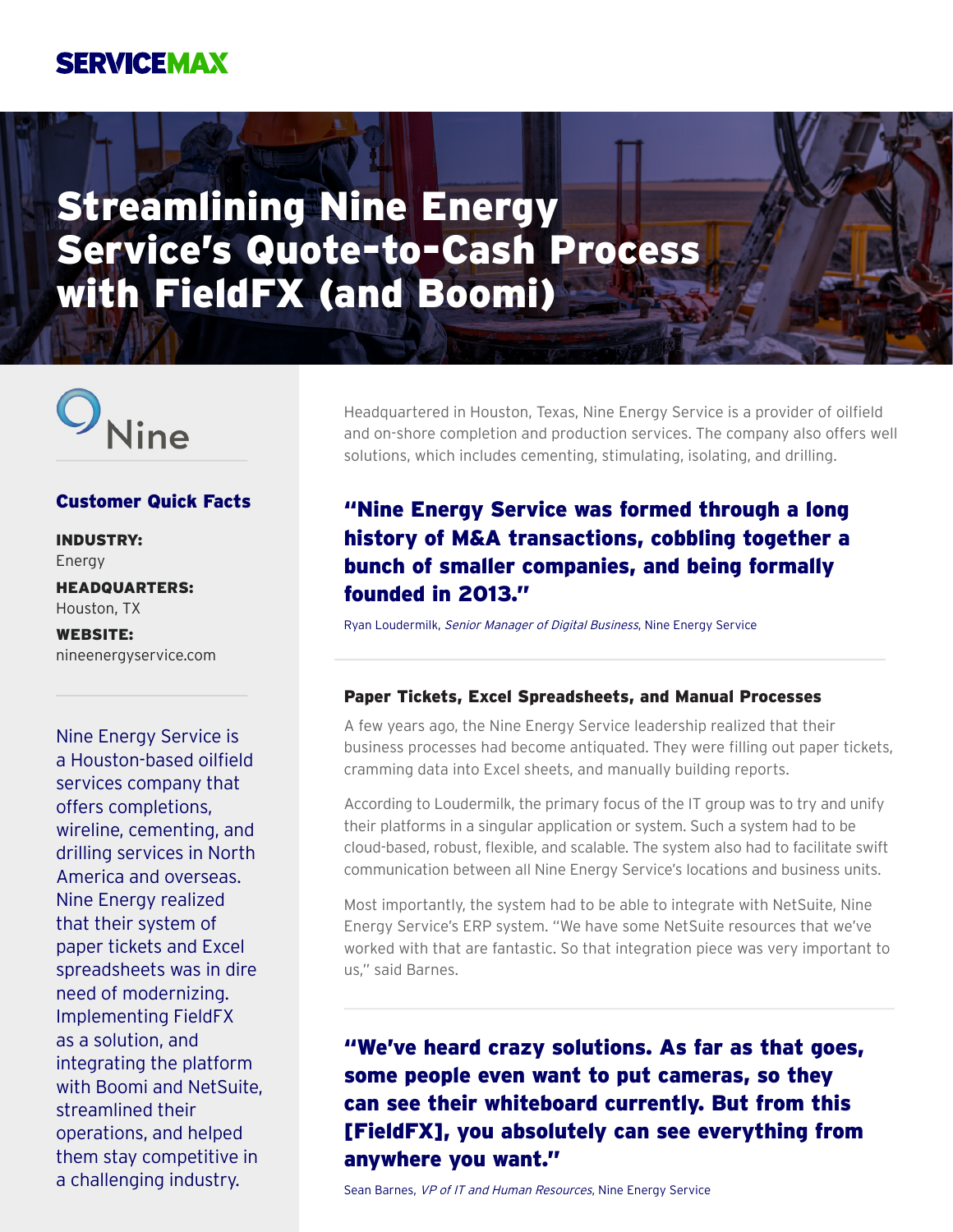## **SERVICEMAX**

# Streamlining Nine Energy Service's Quote-to-Cash Process with FieldFX (and Boomi)



#### Customer Quick Facts

INDUSTRY: Energy

HEADQUARTERS: Houston, TX

WEBSITE: nineenergyservice.com

Nine Energy Service is a Houston-based oilfield services company that offers completions, wireline, cementing, and drilling services in North America and overseas. Nine Energy realized that their system of paper tickets and Excel spreadsheets was in dire need of modernizing. Implementing FieldFX as a solution, and integrating the platform with Boomi and NetSuite, streamlined their operations, and helped them stay competitive in a challenging industry.

Headquartered in Houston, Texas, Nine Energy Service is a provider of oilfield and on-shore completion and production services. The company also offers well solutions, which includes cementing, stimulating, isolating, and drilling.

### "Nine Energy Service was formed through a long history of M&A transactions, cobbling together a bunch of smaller companies, and being formally founded in 2013."

Ryan Loudermilk, Senior Manager of Digital Business, Nine Energy Service

#### Paper Tickets, Excel Spreadsheets, and Manual Processes

A few years ago, the Nine Energy Service leadership realized that their business processes had become antiquated. They were filling out paper tickets, cramming data into Excel sheets, and manually building reports.

According to Loudermilk, the primary focus of the IT group was to try and unify their platforms in a singular application or system. Such a system had to be cloud-based, robust, flexible, and scalable. The system also had to facilitate swift communication between all Nine Energy Service's locations and business units.

Most importantly, the system had to be able to integrate with NetSuite, Nine Energy Service's ERP system. "We have some NetSuite resources that we've worked with that are fantastic. So that integration piece was very important to us," said Barnes.

## "We've heard crazy solutions. As far as that goes, some people even want to put cameras, so they can see their whiteboard currently. But from this [FieldFX], you absolutely can see everything from anywhere you want."

Sean Barnes, VP of IT and Human Resources, Nine Energy Service